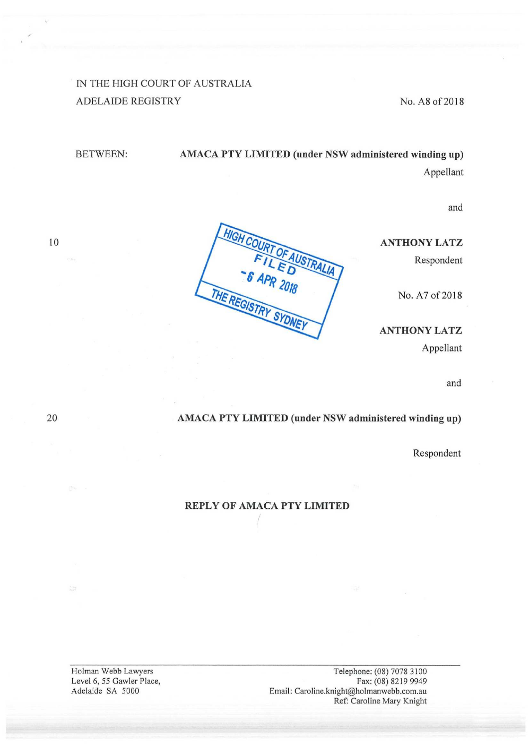## IN THE HIGH COURT OF AUSTRALIA ADELAIDE REGISTRY No. A8 of 2018

# BETWEEN: AMACA PTY LIMITED (under NSW administered winding up) Appellant

and

## ANTHONY LATZ

Respondent

No. A7 of 2018

ANTHONY LATZ

Appellant

and

#### <sup>20</sup> AMACA PTY LIMITED (under NSW administered winding up)

Respondent

### REPLY OF AMACA PTY LIMITED

Holman Webb Lawyers Telephone: (08) 7078 3100<br>Level 6, 55 Gawler Place, Fax: (08) 8219 9949 Email: Caroline.knight@holmanwebb.com.au Ref: Caroline Mary Knight

Level 6, 55 Gawler Place,<br>Adelaide SA 5000

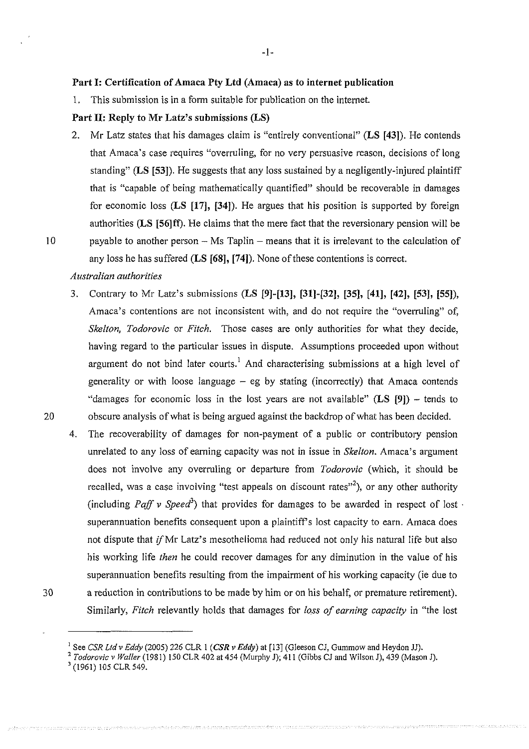#### Part I: Certification of Amaca Pty Ltd (Amaca) as to internet publication

1. This submission is in <sup>a</sup> form suitable for publication on the intemet.

#### Part II: Reply to Mr Latz's submissions (LS)

2. Mr Latz states that his damages claim is "entirely conventional" (LS [43]). He contends that Amaca's case requires "overruling, for no very persuasive reason, decisions of long standing" (LS [53]). He suggests that any loss sustained by a negligently-injured plaintiff that is "capable of being mathematically quantified" should be recoverable in damages for economic loss (LS [17], [34]). He argues that his position is supported by foreign authorities (LS [56] ff). He claims that the mere fact that the reversionary pension will be payable to another person — Ms Taplin — means that it is irrelevant to the calculation of any loss he has suffered  $(LS [68], [74])$ . None of these contentions is correct.

#### Australian authorities

- 3. Contrary to Mr Latz's submissions (LS [9]~[13], [311-[32], [35], [41], [42], [53], [55]), Amaca's contentions are not inconsistent with, and do not require the "overruling" of, Skelton, Todorovic or Fitch. Those cases are only authorities for what they decide, having regard to the particular issues in dispute. Assumptions proceeded upon without argument do not bind later courts.<sup>1</sup> And characterising submissions at a high level of generality or with loose language — eg by stating (incorrectly) that Amaca contends "damages for economic loss in the lost years are not available" (LS [9]) – tends to obscure analysis of what is being argued against the backdrop of what has been decided.
- The recoverability of damages for non-payment of <sup>a</sup> public or contributory pension 4. unrelated to any loss of earning capacity was not in issue in *Skelton*. Amaca's argument does not involve any overruling or departure from *Todorovic* (which, it should be recalled, was a case involving "test appeals on discount rates"<sup>2</sup>), or any other authority (including Paff v Speed<sup>3</sup>) that provides for damages to be awarded in respect of lost  $\cdot$ superannuation benefits consequent upon a plaintiff's lost capacity to earn. Amaca does not dispute that if Mr Latz's mesothelioma had reduced not only his natural life but also his working life then he could recover damages for any diminution in the value of his superannuation benefits resulting from the impairment of his working capacity (ie due to <sup>a</sup> reduction in contributions to be made by him or on his behalf, or premature retirement). Similarly, Fitch relevantly holds that damages for loss of earning capacity in "the lost
- 30

<sup>3</sup> (1961) 105 CLR 549.

20

<sup>&</sup>lt;sup>1</sup> See CSR Ltd v Eddy (2005) 226 CLR 1 (CSR v Eddy) at [13] (Gleeson CJ, Gummow and Heydon JJ).<br>2 Todorovic v Waller (1981) 150 CLR 402 at 454 (Murphy J); 411 (Gibbs CJ and Wilson J), 439 (Mason J).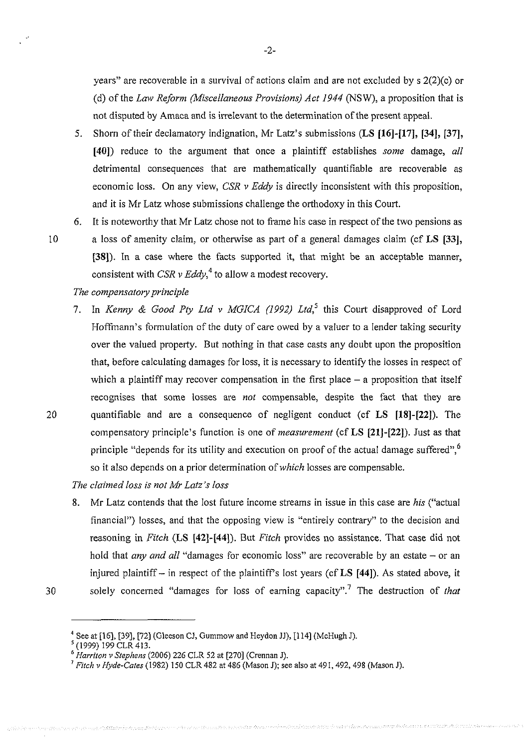years" are recoverable in <sup>a</sup> survival of actions claim and are not excluded by <sup>s</sup> 2(2)(c) or (d) of the Law Reform (Miscellaneous Provisions) Act 1944 (NSW), a proposition that is not disputed by Amaca and is irrelevant to the determination ofthe present appeal.

- 5. Shorn of their declamatory indignation, Mr Latz's submissions (LS [16]-[17], [34], [37], [40]) reduce to the argument that once a plaintiff establishes some damage, all detrimental consequences that are mathematically quantifiable are recoverable as economic loss. On any view,  $CSR$  v Eddy is directly inconsistent with this proposition, and it is Mr Latz whose submissions challenge the orthodoxy in this Court.
- It is noteworthy that Mr Latz chose not to frame his case in respect of the two pensions as 6. <sup>a</sup> loss of amenity claim, or otherwise as part of <sup>a</sup> general damages claim (cf LS [33], [38]). In a case where the facts supported it, that might be an acceptable manner, consistent with CSR  $\nu$  Eddy,<sup>4</sup> to allow a modest recovery.

### The compensatory principle

In Kenny & Good Pty Ltd v MGICA (1992) Ltd,<sup>5</sup> this Court disapproved of Lord 7. Hoffmann's formulation of the duty of care owed by a valuer to a lender taking security over the valued property. But nothing in that case casts any doubt upon the proposition that, before calculating damages for loss, it is necessary to identify the losses in respect of which <sup>a</sup> plaintiff may recover compensation in the first place — <sup>a</sup> proposition that itself recognises that some losses are not compensable, despite the fact that they are quantifiable and are <sup>a</sup> consequence of negligent conduct (cf LS [18]-[22]). The compensatory principle's function is one of measurement (cf LS [21]-[22]). Just as that principle "depends for its utility and execution on proof of the actual damage suffered",<sup>6</sup> so it also depends on a prior determination of which losses are compensable.

The claimed loss is not Mr Latz 's loss

Mr Latz contends that the lost future income streams in issue in this case are his ("actual 8. financial") losses, and that the opposing view is "entirely contrary" to the decision and reasoning in Fitch (LS [42]-[44]). But Fitch provides no assistance. That case did not hold that *any and all* "damages for economic loss" are recoverable by an estate – or an injured plaintiff — in respect of the plaintiff's lost years (cf LS [44]). As stated above, it solely concerned "damages for loss of earning capacity".<sup>7</sup> The destruction of *that* 

10

<sup>&</sup>lt;sup>4</sup> See at [16], [39], [72] (Gleeson CJ, Gummow and Heydon JJ), [114] (McHugh J).<br><sup>5</sup> (1999) 199 CLR 413.<br><sup>6</sup> *Harriton v Stephens* (2006) 226 CLR 52 at [270] (Crennan J).<br><sup>7</sup> *Fitch v Hyde-Cates* (1982) 150 CLR 482 at 48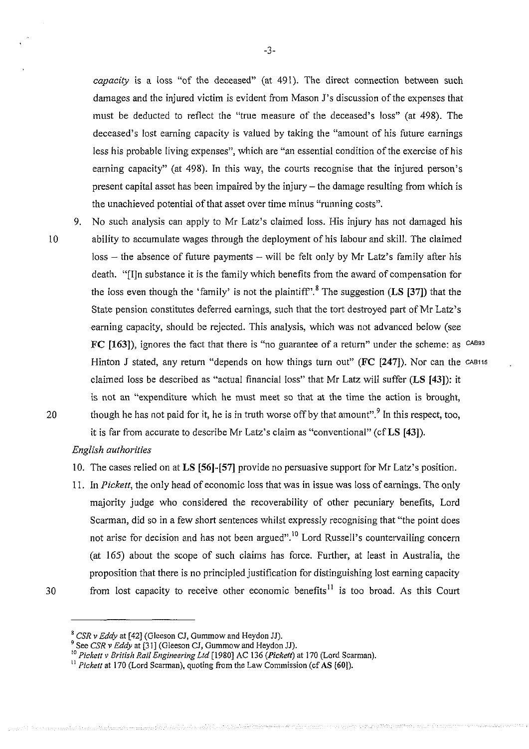capacity is a loss "of the deceased" (at 491). The direct connection between such damages and the injured victim is evident from Mason J's discussion of the expenses that must be deducted to reflect the "true measure of the deceased's loss" (at 498). The deceased's lost earning capacity is valued by taking the "amount of his future earnings less his probable living expenses", which are "an essential condition of the exercise of his earning capacity" (at 498). In this way, the courts recognise that the injured person's present capital asset has been impaired by the injury — the damage resulting from which is the unachieved potential of that asset over time minus "running costs".

10

9. No such analysis can apply to Mr Latz's claimed loss. His injury has not damaged his ability to accumulate wages through the deployment of his labour and skill. The claimed loss — the absence of future payments — will be felt only by Mr Latz's family after his death. "[I]n substance it is the family which benefits from the award of compensation for the loss even though the 'family' is not the plaintiff".<sup>8</sup> The suggestion (LS [37]) that the State pension constitutes deferred earnings, such that the tort destroyed part of Mr Latz's earning capacity, should be rejected. This analysis, which was not advanced below (see FC  $[163]$ ), ignores the fact that there is "no guarantee of a return" under the scheme: as <sup>CAB93</sup> Hinton J stated, any return "depends on how things turn out" ( $FC$  [247]). Nor can the CAB115 claimed loss be described as "actual financial loss" that Mr Latz will suffer (LS [43]): it is not an "expenditure which he must meet so that at the time the action is brought, though he has not paid for it, he is in truth worse off by that amount".<sup>9</sup> In this respect, too, it is far from accurate to describe Mr Latz's claim as "conventional" (cf LS [43]).

#### English authorities

- 10. The cases relied on at LS [56]~[57] provide no persuasive support for Mr Latz's position.
- 11. In Pickett, the only head of economic loss that was in issue was loss of earnings. The only majority judge who considered the recoverability of other pecuniary benefits, Lord Scarman, did so in <sup>a</sup> few short sentences whilst expressly recognising that "the point does not arise for decision and has not been argued".10 Lord Russell's countervailing concern (at 165) about the scope of such claims has force. Further, at least in Australia, the proposition that there is no principled justification for distinguishing lost earning capacity from lost capacity to receive other economic benefits $11$  is too broad. As this Court
- 30

 $^8$  CSR v *Eddy* at [42] (Gleeson CJ, Gummow and Heydon JJ).<br><sup>9</sup> See CSR v *Eddy* at [31] (Gleeson CJ, Gummow and Heydon JJ).<br><sup>10</sup> Pickett v *British Rail Engineering Ltd* [1980] AC 136 (*Pickett*) at 170 (Lord Scarman).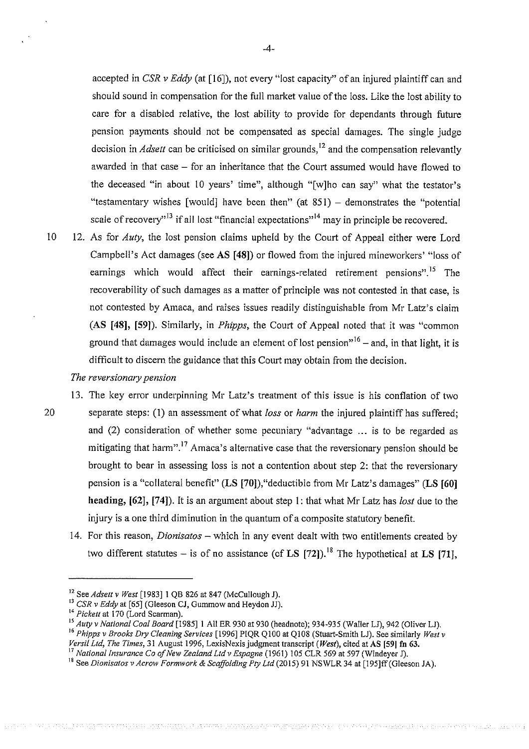accepted in CSR v Eddy (at [16]), not every "lost capacity" of an injured plaintiff can and should sound in compensation for the full market value of the loss. Like the lost ability to care for <sup>a</sup> disabled relative, the lost ability to provide for dependants through future pension payments should not be compensated as special damages. The single judge decision in *Adsett* can be criticised on similar grounds,<sup>12</sup> and the compensation relevantly awarded in that case — for an inheritance that the Court assumed would have flowed to the deceased "in about <sup>10</sup> years' time", although "[w]ho can say" what the testator's "testamentary wishes [would] have been then" (at 851) — demonstrates the "potential scale of recovery<sup> $13$ </sup> if all lost "financial expectations"<sup>14</sup> may in principle be recovered.

10 12. As for *Auty*, the lost pension claims upheld by the Court of Appeal either were Lord Campbell's Act damages (see AS [48]) or flowed from the injured mineworkers' "loss of earnings which would affect their earnings-related retirement pensions".<sup>15</sup> The recoverability of such damages as <sup>a</sup> matter of principle was not contested in that case, is not contested by Amaca, and raises issues readily distinguishable from Mr Latz's claim (AS [48], [59]). Similarly, in Phipps, the Court of Appeal noted that it was "common ground that damages would include an element of lost pension"<sup>16</sup> – and, in that light, it is difficult to discern the guidance that this Court may obtain from the decision.

#### The reversionary pension

20

13. The key error underpinning Mr Latz's treatment of this issue is his conflation of two separate steps: (1) an assessment of what *loss* or *harm* the injured plaintiff has suffered; and (2) consideration of whether some pecuniary "advantage ... is to be regarded as mitigating that harm".<sup>17</sup> Amaca's alternative case that the reversionary pension should be brought to bear in assessing loss is not <sup>a</sup> contention about step 2: that the reversionary pension is a "collateral benefit" (LS [70]), "deductible from Mr Latz's damages" (LS [60] heading, [62], [74]). It is an argument about step 1: that what Mr Latz has *lost* due to the injury is <sup>a</sup> one third diminution in the quantum of <sup>a</sup> composite statutory benefit.

14. For this reason, *Dionisatos* – which in any event dealt with two entitlements created by two different statutes – is of no assistance (cf LS [72]).<sup>18</sup> The hypothetical at LS [71],

THE STATE STATE CONSTRUCT CONFORMED AND CONTAINST PROVIDING ASSOCIATE AND THE CONSTRUCTION OF A SECOND AND CONSTRUCTION OF THE STATE OF A STREET AND AND STREET AND A STREET AND A STREET AND A STREET AND A STREET AND A STRE

 $12$  See Adsett v West [1983] 1 QB 826 at 847 (McCullough J).

<sup>&</sup>lt;sup>13</sup> CSR v Eddy at [65] (Gleeson CJ, Gummow and Heydon JJ).

 $14$  Pickett at 170 (Lord Scarman).

<sup>&</sup>lt;sup>15</sup> Auty v National Coal Board [1985] 1 All ER 930 at 930 (headnote); 934-935 (Waller LJ), 942 (Oliver LJ). <sup>16</sup> Phipps v Brooks Dry Cleaning Services [1996] PIQR Q100 at Q108 (Stuart-Smith LJ). See similarly West v Versil Ltd, The Times, 31 August 1996, LexisNexis judgment transcript (West), cited at AS [59] fn 63.

<sup>&#</sup>x27;7 National Insurance Co afNew Zealand Ltdv Espagne (1961) <sup>105</sup> CLR <sup>569</sup> at <sup>597</sup> (Windeyer J).

<sup>&</sup>lt;sup>18</sup> See Dionisatos v Acrow Formwork & Scaffolding Pty Ltd (2015) 91 NSWLR 34 at [195]ff (Gleeson JA).